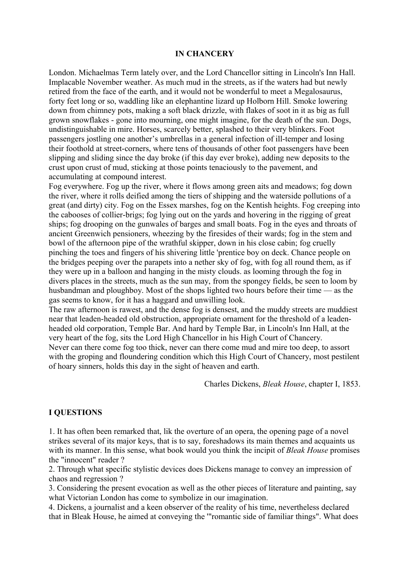## **IN CHANCERY**

London. Michaelmas Term lately over, and the Lord Chancellor sitting in Lincoln's Inn Hall. Implacable November weather. As much mud in the streets, as if the waters had but newly retired from the face of the earth, and it would not be wonderful to meet a Megalosaurus, forty feet long or so, waddling like an elephantine lizard up Holborn Hill. Smoke lowering down from chimney pots, making a soft black drizzle, with flakes of soot in it as big as full grown snowflakes - gone into mourning, one might imagine, for the death of the sun. Dogs, undistinguishable in mire. Horses, scarcely better, splashed to their very blinkers. Foot passengers jostling one another's umbrellas in a general infection of ill-temper and losing their foothold at street-corners, where tens of thousands of other foot passengers have been slipping and sliding since the day broke (if this day ever broke), adding new deposits to the crust upon crust of mud, sticking at those points tenaciously to the pavement, and accumulating at compound interest.

Fog everywhere. Fog up the river, where it flows among green aits and meadows; fog down the river, where it rolls deified among the tiers of shipping and the waterside pollutions of a great (and dirty) city. Fog on the Essex marshes, fog on the Kentish heights. Fog creeping into the cabooses of collier-brigs; fog lying out on the yards and hovering in the rigging of great ships; fog drooping on the gunwales of barges and small boats. Fog in the eyes and throats of ancient Greenwich pensioners, wheezing by the firesides of their wards; fog in the stem and bowl of the afternoon pipe of the wrathful skipper, down in his close cabin; fog cruelly pinching the toes and fingers of his shivering little 'prentice boy on deck. Chance people on the bridges peeping over the parapets into a nether sky of fog, with fog all round them, as if they were up in a balloon and hanging in the misty clouds. as looming through the fog in divers places in the streets, much as the sun may, from the spongey fields, be seen to loom by husbandman and ploughboy. Most of the shops lighted two hours before their time — as the gas seems to know, for it has a haggard and unwilling look.

The raw afternoon is rawest, and the dense fog is densest, and the muddy streets are muddiest near that leaden-headed old obstruction, appropriate ornament for the threshold of a leadenheaded old corporation, Temple Bar. And hard by Temple Bar, in Lincoln's Inn Hall, at the very heart of the fog, sits the Lord High Chancellor in his High Court of Chancery.

Never can there come fog too thick, never can there come mud and mire too deep, to assort with the groping and floundering condition which this High Court of Chancery, most pestilent of hoary sinners, holds this day in the sight of heaven and earth.

Charles Dickens, *Bleak House*, chapter I, 1853.

## **I QUESTIONS**

1. It has often been remarked that, lik the overture of an opera, the opening page of a novel strikes several of its major keys, that is to say, foreshadows its main themes and acquaints us with its manner. In this sense, what book would you think the incipit of *Bleak House* promises the "innocent" reader ?

2. Through what specific stylistic devices does Dickens manage to convey an impression of chaos and regression ?

3. Considering the present evocation as well as the other pieces of literature and painting, say what Victorian London has come to symbolize in our imagination.

4. Dickens, a journalist and a keen observer of the reality of his time, nevertheless declared that in Bleak House, he aimed at conveying the '"romantic side of familiar things". What does